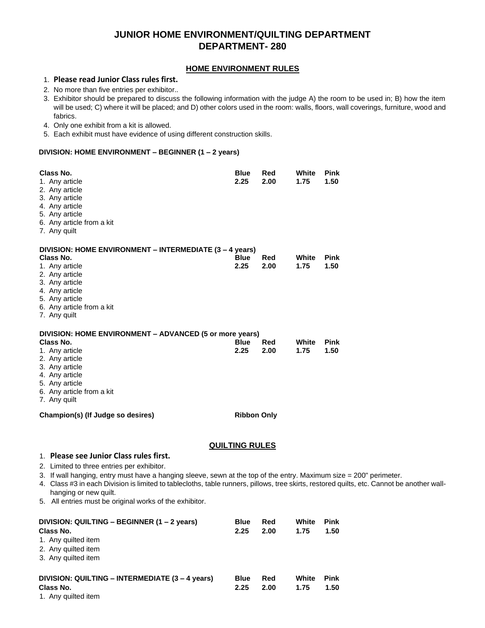# **JUNIOR HOME ENVIRONMENT/QUILTING DEPARTMENT DEPARTMENT- 280**

### **HOME ENVIRONMENT RULES**

## 1. **Please read Junior Class rules first.**

- 2. No more than five entries per exhibitor..
- 3. Exhibitor should be prepared to discuss the following information with the judge A) the room to be used in; B) how the item will be used; C) where it will be placed; and D) other colors used in the room: walls, floors, wall coverings, furniture, wood and fabrics.
- 4. Only one exhibit from a kit is allowed.
- 5. Each exhibit must have evidence of using different construction skills.

#### **DIVISION: HOME ENVIRONMENT – BEGINNER (1 – 2 years)**

| Class No.<br>1. Any article<br>2. Any article<br>3. Any article<br>4. Any article<br>5. Any article<br>6. Any article from a kit<br>7. Any quilt                                                            | <b>Blue</b><br>2.25   | Red<br>2.00 | White<br>1.75 | <b>Pink</b><br>1.50 |
|-------------------------------------------------------------------------------------------------------------------------------------------------------------------------------------------------------------|-----------------------|-------------|---------------|---------------------|
| DIVISION: HOME ENVIRONMENT - INTERMEDIATE (3 - 4 years)<br>Class No.<br>1. Any article<br>2. Any article<br>3. Any article<br>4. Any article<br>5. Any article<br>6. Any article from a kit<br>7. Any quilt | <b>Blue</b><br>2.25   | Red<br>2.00 | White<br>1.75 | <b>Pink</b><br>1.50 |
| DIVISION: HOME ENVIRONMENT - ADVANCED (5 or more years)<br>Class No.<br>1. Any article<br>2. Any article<br>3. Any article<br>4. Any article<br>5. Any article<br>6. Any article from a kit<br>7. Any quilt | <b>Blue</b><br>2.25   | Red<br>2.00 | White<br>1.75 | <b>Pink</b><br>1.50 |
| Champion(s) (If Judge so desires)                                                                                                                                                                           | <b>Ribbon Only</b>    |             |               |                     |
| 1. Please see Junior Class rules first.                                                                                                                                                                     | <b>QUILTING RULES</b> |             |               |                     |

- 2. Limited to three entries per exhibitor.
- 3. If wall hanging, entry must have a hanging sleeve, sewn at the top of the entry. Maximum size = 200" perimeter.
- 4. Class #3 in each Division is limited to tablecloths, table runners, pillows, tree skirts, restored quilts, etc. Cannot be another wallhanging or new quilt.
- 5. All entries must be original works of the exhibitor.

| DIVISION: QUILTING - BEGINNER (1 - 2 years)<br>Class No.<br>1. Any quilted item<br>2. Any quilted item<br>3. Any quilted item | <b>Blue</b><br>2.25 | Red<br>2.00 | White<br>1.75 | <b>Pink</b><br>1.50 |
|-------------------------------------------------------------------------------------------------------------------------------|---------------------|-------------|---------------|---------------------|
| DIVISION: QUILTING - INTERMEDIATE (3 - 4 years)<br>Class No.<br>1. Any quilted item                                           | <b>Blue</b><br>2.25 | Red<br>2.00 | White<br>1.75 | <b>Pink</b><br>1.50 |